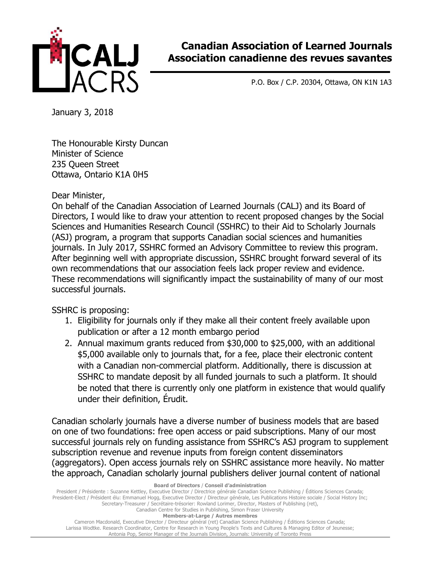

## **Canadian Association of Learned Journals Association canadienne des revues savantes**

P.O. Box / C.P. 20304, Ottawa, ON K1N 1A3

January 3, 2018

The Honourable Kirsty Duncan Minister of Science 235 Queen Street Ottawa, Ontario K1A 0H5

Dear Minister,

On behalf of the Canadian Association of Learned Journals (CALJ) and its Board of Directors, I would like to draw your attention to recent proposed changes by the Social Sciences and Humanities Research Council (SSHRC) to their Aid to Scholarly Journals (ASJ) program, a program that supports Canadian social sciences and humanities journals. In July 2017, SSHRC formed an Advisory Committee to review this program. After beginning well with appropriate discussion, SSHRC brought forward several of its own recommendations that our association feels lack proper review and evidence. These recommendations will significantly impact the sustainability of many of our most successful journals.

SSHRC is proposing:

- 1. Eligibility for journals only if they make all their content freely available upon publication or after a 12 month embargo period
- 2. Annual maximum grants reduced from \$30,000 to \$25,000, with an additional \$5,000 available only to journals that, for a fee, place their electronic content with a Canadian non-commercial platform. Additionally, there is discussion at SSHRC to mandate deposit by all funded journals to such a platform. It should be noted that there is currently only one platform in existence that would qualify under their definition, Érudit.

Canadian scholarly journals have a diverse number of business models that are based on one of two foundations: free open access or paid subscriptions. Many of our most successful journals rely on funding assistance from SSHRC's ASJ program to supplement subscription revenue and revenue inputs from foreign content disseminators (aggregators). Open access journals rely on SSHRC assistance more heavily. No matter the approach, Canadian scholarly journal publishers deliver journal content of national

**Board of Directors** / **Conseil d'administration** 

President / Présidente : Suzanne Kettley, Executive Director / Directrice générale Canadian Science Publishing / Éditions Sciences Canada; President-Elect / Président élu: Emmanuel Hogg, Executive Director / Directeur générale, Les Publications Histoire sociale / Social History Inc; Secretary-Treasurer / Secrétaire-trésorier: Rowland Lorimer, Director, Masters of Publishing (ret), Canadian Centre for Studies in Publishing, Simon Fraser University **Members-at-Large / Autres membres**  Cameron Macdonald, Executive Director / Directeur général (ret) Canadian Science Publishing / Éditions Sciences Canada;

Larissa Wodtke. Research Coordinator, Centre for Research in Young People's Texts and Cultures & Managing Editor of Jeunesse; Antonia Pop, Senior Manager of the Journals Division, Journals: University of Toronto Press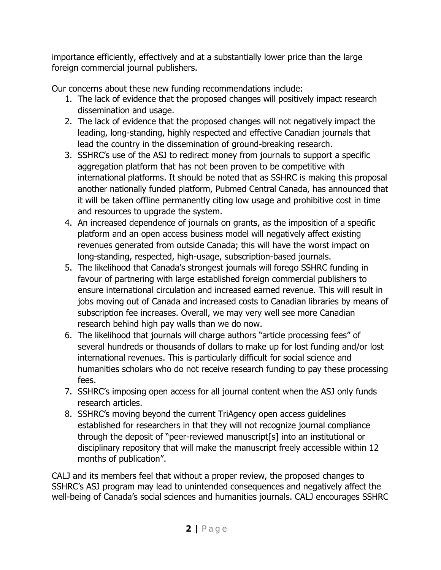importance efficiently, effectively and at a substantially lower price than the large foreign commercial journal publishers.

Our concerns about these new funding recommendations include:

- 1. The lack of evidence that the proposed changes will positively impact research dissemination and usage.
- 2. The lack of evidence that the proposed changes will not negatively impact the leading, long-standing, highly respected and effective Canadian journals that lead the country in the dissemination of ground-breaking research.
- 3. SSHRC's use of the ASJ to redirect money from journals to support a specific aggregation platform that has not been proven to be competitive with international platforms. It should be noted that as SSHRC is making this proposal another nationally funded platform, Pubmed Central Canada, has announced that it will be taken offline permanently citing low usage and prohibitive cost in time and resources to upgrade the system.
- 4. An increased dependence of journals on grants, as the imposition of a specific platform and an open access business model will negatively affect existing revenues generated from outside Canada; this will have the worst impact on long-standing, respected, high-usage, subscription-based journals.
- 5. The likelihood that Canada's strongest journals will forego SSHRC funding in favour of partnering with large established foreign commercial publishers to ensure international circulation and increased earned revenue. This will result in jobs moving out of Canada and increased costs to Canadian libraries by means of subscription fee increases. Overall, we may very well see more Canadian research behind high pay walls than we do now.
- 6. The likelihood that journals will charge authors "article processing fees" of several hundreds or thousands of dollars to make up for lost funding and/or lost international revenues. This is particularly difficult for social science and humanities scholars who do not receive research funding to pay these processing fees.
- 7. SSHRC's imposing open access for all journal content when the ASJ only funds research articles.
- 8. SSHRC's moving beyond the current TriAgency open access guidelines established for researchers in that they will not recognize journal compliance through the deposit of "peer-reviewed manuscript[s] into an institutional or disciplinary repository that will make the manuscript freely accessible within 12 months of publication".

CALJ and its members feel that without a proper review, the proposed changes to SSHRC's ASJ program may lead to unintended consequences and negatively affect the well-being of Canada's social sciences and humanities journals. CALJ encourages SSHRC